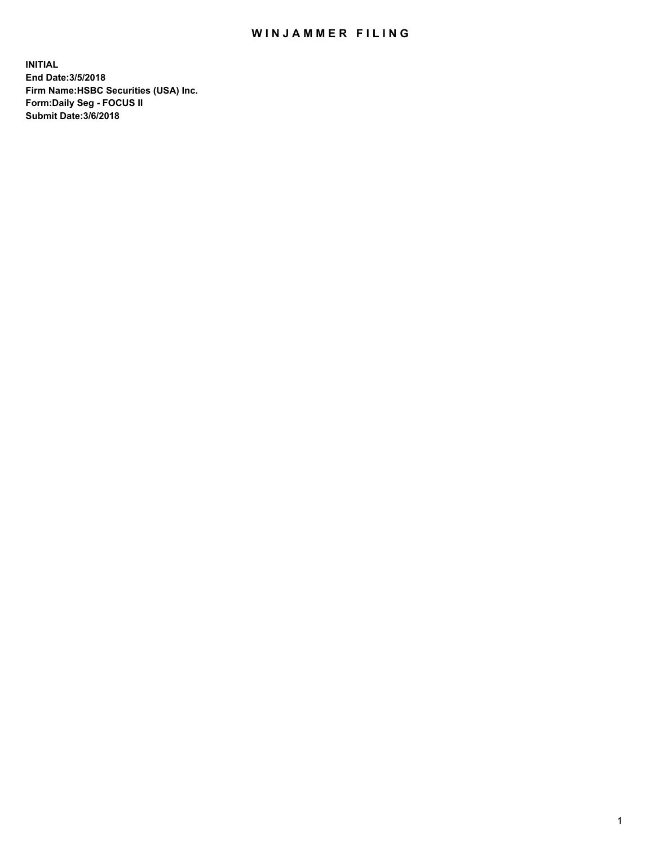## WIN JAMMER FILING

**INITIAL End Date:3/5/2018 Firm Name:HSBC Securities (USA) Inc. Form:Daily Seg - FOCUS II Submit Date:3/6/2018**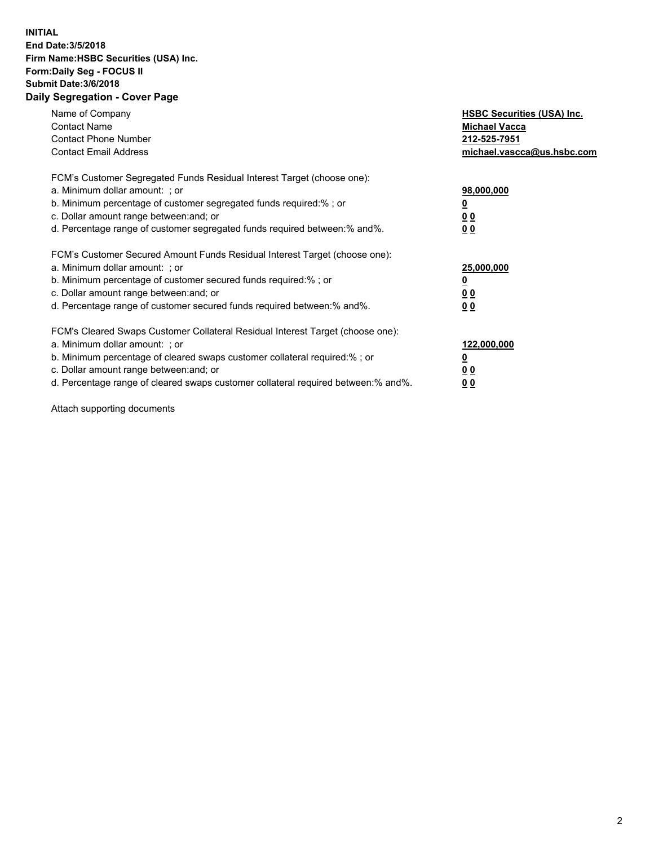## **INITIAL End Date:3/5/2018 Firm Name:HSBC Securities (USA) Inc. Form:Daily Seg - FOCUS II Submit Date:3/6/2018 Daily Segregation - Cover Page**

| Name of Company<br><b>Contact Name</b><br><b>Contact Phone Number</b><br><b>Contact Email Address</b>                                                                                                                                                                                                                         | <b>HSBC Securities (USA) Inc.</b><br><b>Michael Vacca</b><br>212-525-7951<br>michael.vascca@us.hsbc.com |
|-------------------------------------------------------------------------------------------------------------------------------------------------------------------------------------------------------------------------------------------------------------------------------------------------------------------------------|---------------------------------------------------------------------------------------------------------|
| FCM's Customer Segregated Funds Residual Interest Target (choose one):<br>a. Minimum dollar amount: ; or<br>b. Minimum percentage of customer segregated funds required:%; or<br>c. Dollar amount range between: and; or<br>d. Percentage range of customer segregated funds required between:% and%.                         | 98,000,000<br><u>0</u><br>0 <sub>0</sub><br>0 <sub>0</sub>                                              |
| FCM's Customer Secured Amount Funds Residual Interest Target (choose one):<br>a. Minimum dollar amount: ; or<br>b. Minimum percentage of customer secured funds required:%; or<br>c. Dollar amount range between: and; or<br>d. Percentage range of customer secured funds required between:% and%.                           | 25,000,000<br><u>0</u><br>0 <sub>0</sub><br>0 <sub>0</sub>                                              |
| FCM's Cleared Swaps Customer Collateral Residual Interest Target (choose one):<br>a. Minimum dollar amount: ; or<br>b. Minimum percentage of cleared swaps customer collateral required:%; or<br>c. Dollar amount range between: and; or<br>d. Percentage range of cleared swaps customer collateral required between:% and%. | 122,000,000<br>$\overline{\mathbf{0}}$<br><u>00</u><br>0 <sub>0</sub>                                   |

Attach supporting documents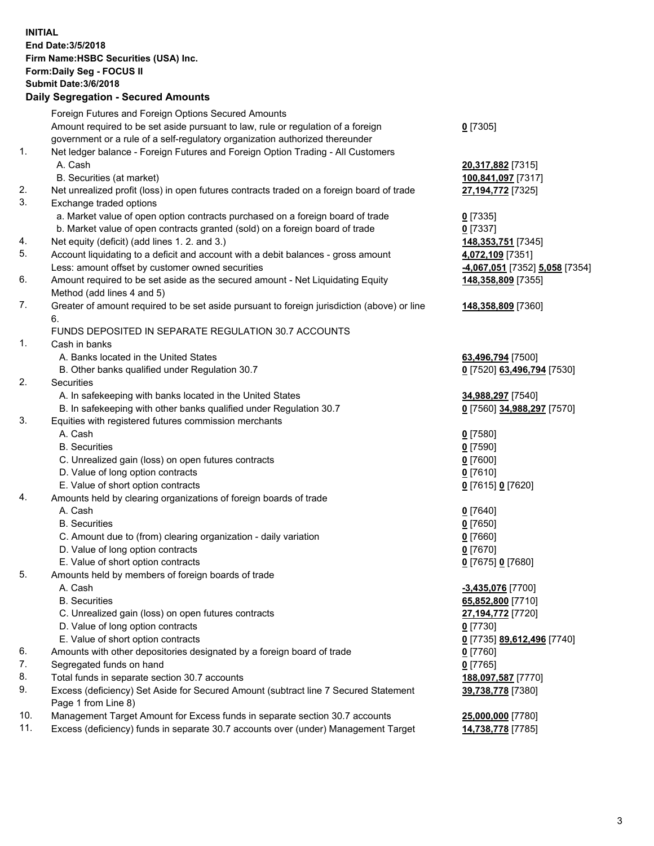**INITIAL End Date:3/5/2018 Firm Name:HSBC Securities (USA) Inc. Form:Daily Seg - FOCUS II Submit Date:3/6/2018 Daily Segregation - Secured Amounts** Foreign Futures and Foreign Options Secured Amounts Amount required to be set aside pursuant to law, rule or regulation of a foreign government or a rule of a self-regulatory organization authorized thereunder **0** [7305] 1. Net ledger balance - Foreign Futures and Foreign Option Trading - All Customers A. Cash **20,317,882** [7315] B. Securities (at market) **100,841,097** [7317] 2. Net unrealized profit (loss) in open futures contracts traded on a foreign board of trade **27,194,772** [7325] 3. Exchange traded options a. Market value of open option contracts purchased on a foreign board of trade **0** [7335] b. Market value of open contracts granted (sold) on a foreign board of trade **0** [7337] 4. Net equity (deficit) (add lines 1. 2. and 3.) **148,353,751** [7345] 5. Account liquidating to a deficit and account with a debit balances - gross amount **4,072,109** [7351] Less: amount offset by customer owned securities **-4,067,051** [7352] **5,058** [7354] 6. Amount required to be set aside as the secured amount - Net Liquidating Equity Method (add lines 4 and 5) **148,358,809** [7355] 7. Greater of amount required to be set aside pursuant to foreign jurisdiction (above) or line 6. **148,358,809** [7360] FUNDS DEPOSITED IN SEPARATE REGULATION 30.7 ACCOUNTS 1. Cash in banks A. Banks located in the United States **63,496,794** [7500] B. Other banks qualified under Regulation 30.7 **0** [7520] **63,496,794** [7530] 2. Securities A. In safekeeping with banks located in the United States **34,988,297** [7540] B. In safekeeping with other banks qualified under Regulation 30.7 **0** [7560] **34,988,297** [7570] 3. Equities with registered futures commission merchants A. Cash **0** [7580] B. Securities **0** [7590] C. Unrealized gain (loss) on open futures contracts **0** [7600] D. Value of long option contracts **0** [7610] E. Value of short option contracts **0** [7615] **0** [7620] 4. Amounts held by clearing organizations of foreign boards of trade A. Cash **0** [7640] B. Securities **0** [7650] C. Amount due to (from) clearing organization - daily variation **0** [7660] D. Value of long option contracts **0** [7670] E. Value of short option contracts **0** [7675] **0** [7680] 5. Amounts held by members of foreign boards of trade A. Cash **-3,435,076** [7700] B. Securities **65,852,800** [7710] C. Unrealized gain (loss) on open futures contracts **27,194,772** [7720] D. Value of long option contracts **0** [7730] E. Value of short option contracts **0** [7735] **89,612,496** [7740] 6. Amounts with other depositories designated by a foreign board of trade **0** [7760] 7. Segregated funds on hand **0** [7765] 8. Total funds in separate section 30.7 accounts **188,097,587** [7770] 9. Excess (deficiency) Set Aside for Secured Amount (subtract line 7 Secured Statement Page 1 from Line 8) **39,738,778** [7380] 10. Management Target Amount for Excess funds in separate section 30.7 accounts **25,000,000** [7780]

11. Excess (deficiency) funds in separate 30.7 accounts over (under) Management Target **14,738,778** [7785]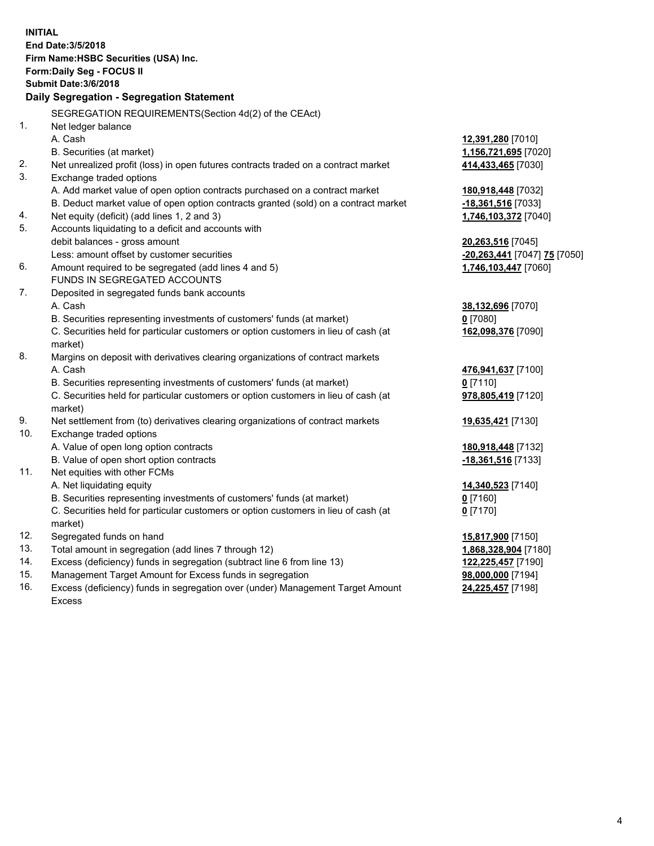| <b>INITIAL</b> | End Date: 3/5/2018<br>Firm Name: HSBC Securities (USA) Inc.<br>Form: Daily Seg - FOCUS II<br><b>Submit Date: 3/6/2018</b><br>Daily Segregation - Segregation Statement |                              |  |  |  |
|----------------|------------------------------------------------------------------------------------------------------------------------------------------------------------------------|------------------------------|--|--|--|
|                |                                                                                                                                                                        |                              |  |  |  |
|                | SEGREGATION REQUIREMENTS(Section 4d(2) of the CEAct)                                                                                                                   |                              |  |  |  |
| 1.             | Net ledger balance                                                                                                                                                     |                              |  |  |  |
|                | A. Cash                                                                                                                                                                | 12,391,280 [7010]            |  |  |  |
|                | B. Securities (at market)                                                                                                                                              | 1,156,721,695 [7020]         |  |  |  |
| 2.<br>3.       | Net unrealized profit (loss) in open futures contracts traded on a contract market                                                                                     | 414,433,465 [7030]           |  |  |  |
|                | Exchange traded options                                                                                                                                                |                              |  |  |  |
|                | A. Add market value of open option contracts purchased on a contract market                                                                                            | 180,918,448 [7032]           |  |  |  |
|                | B. Deduct market value of open option contracts granted (sold) on a contract market                                                                                    | -18,361,516 [7033]           |  |  |  |
| 4.<br>5.       | Net equity (deficit) (add lines 1, 2 and 3)                                                                                                                            | 1,746,103,372 [7040]         |  |  |  |
|                | Accounts liquidating to a deficit and accounts with<br>debit balances - gross amount                                                                                   | 20,263,516 [7045]            |  |  |  |
|                | Less: amount offset by customer securities                                                                                                                             | -20,263,441 [7047] 75 [7050] |  |  |  |
| 6.             | Amount required to be segregated (add lines 4 and 5)                                                                                                                   | 1,746,103,447 [7060]         |  |  |  |
|                | FUNDS IN SEGREGATED ACCOUNTS                                                                                                                                           |                              |  |  |  |
| 7.             | Deposited in segregated funds bank accounts                                                                                                                            |                              |  |  |  |
|                | A. Cash                                                                                                                                                                | 38,132,696 [7070]            |  |  |  |
|                | B. Securities representing investments of customers' funds (at market)                                                                                                 | $0$ [7080]                   |  |  |  |
|                | C. Securities held for particular customers or option customers in lieu of cash (at                                                                                    | 162,098,376 [7090]           |  |  |  |
|                | market)                                                                                                                                                                |                              |  |  |  |
| 8.             | Margins on deposit with derivatives clearing organizations of contract markets                                                                                         |                              |  |  |  |
|                | A. Cash                                                                                                                                                                | 476,941,637 [7100]           |  |  |  |
|                | B. Securities representing investments of customers' funds (at market)                                                                                                 | $0$ [7110]                   |  |  |  |
|                | C. Securities held for particular customers or option customers in lieu of cash (at<br>market)                                                                         | 978,805,419 [7120]           |  |  |  |
| 9.             | Net settlement from (to) derivatives clearing organizations of contract markets                                                                                        | 19,635,421 [7130]            |  |  |  |
| 10.            | Exchange traded options                                                                                                                                                |                              |  |  |  |
|                | A. Value of open long option contracts                                                                                                                                 | 180,918,448 [7132]           |  |  |  |
|                | B. Value of open short option contracts                                                                                                                                | -18,361,516 [7133]           |  |  |  |
| 11.            | Net equities with other FCMs                                                                                                                                           |                              |  |  |  |
|                | A. Net liquidating equity                                                                                                                                              | 14,340,523 [7140]            |  |  |  |
|                | B. Securities representing investments of customers' funds (at market)                                                                                                 | $0$ [7160]                   |  |  |  |
|                | C. Securities held for particular customers or option customers in lieu of cash (at<br>market)                                                                         | $0$ [7170]                   |  |  |  |
| 12.            | Segregated funds on hand                                                                                                                                               | 15,817,900 [7150]            |  |  |  |
| 13.            | Total amount in segregation (add lines 7 through 12)                                                                                                                   | 1,868,328,904 [7180]         |  |  |  |
| 14.            | Excess (deficiency) funds in segregation (subtract line 6 from line 13)                                                                                                | 122,225,457 [7190]           |  |  |  |
| 15.            | Management Target Amount for Excess funds in segregation                                                                                                               | 98,000,000 [7194]            |  |  |  |
|                |                                                                                                                                                                        |                              |  |  |  |

16. Excess (deficiency) funds in segregation over (under) Management Target Amount Excess

**24,225,457** [7198]